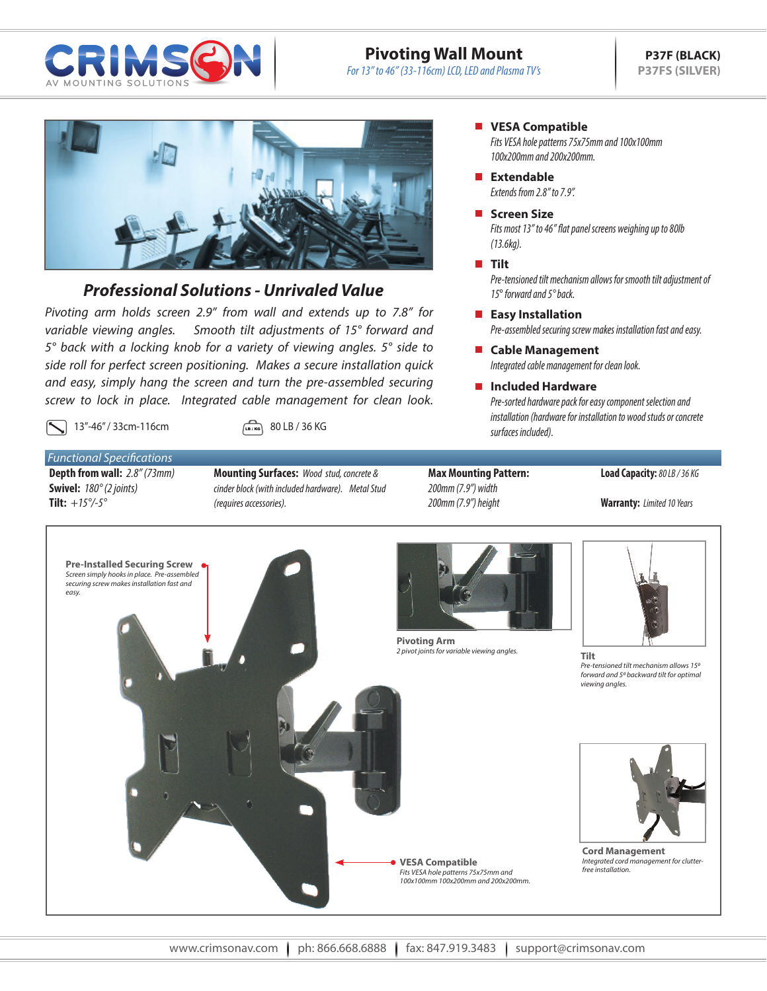

# **Pivoting Wall Mount**

*For 13" to 46" (33-116cm) LCD, LED and Plasma TV's*



# *Professional Solutions - Unrivaled Value*

*Pivoting arm holds screen 2.9" from wall and extends up to 7.8" for variable viewing angles. Smooth tilt adjustments of 15° forward and 5° back with a locking knob for a variety of viewing angles. 5° side to side roll for perfect screen positioning. Makes a secure installation quick and easy, simply hang the screen and turn the pre-assembled securing screw to lock in place. Integrated cable management for clean look.* 

13"-46" / 33cm-116cm (Laire) 80 LB / 36 KG

### *Functional Specifications* **Depth from wall:** *2.8" (73mm)*

**Swivel:** *180° (2 joints)* **Tilt:** *+15°/-5°*

- **Mounting Surfaces:** *Wood stud, concrete & cinder block (with included hardware). Metal Stud (requires accessories).*
- **Max Mounting Pattern:** *200mm (7.9") width 200mm (7.9") height*

#### **Load Capacity:** *80 LB / 36 KG*

**Warranty:** *Limited 10 Years*



**VESA Compatible** 

*Fits VESA hole patterns 75x75mm and 100x100mm 100x200mm and 200x200mm.*

*Extends from 2.8" to 7.9".* **Extendable**

### **Screen Size**

*Fits most 13" to 46" flat panel screens weighing up to 80lb (13.6kg).*

#### **Tilt**

*Pre-tensioned tilt mechanism allows for smooth tilt adjustment of 15*° *forward and 5° back.*

#### **Easy Installation**

*Pre-assembled securing screw makes installation fast and easy.*

*Integrated cable management for clean look.* **Cable Management**

### **Included Hardware**

*Pre-sorted hardware pack for easy component selection and installation (hardware for installation to wood studs or concrete surfaces included).*